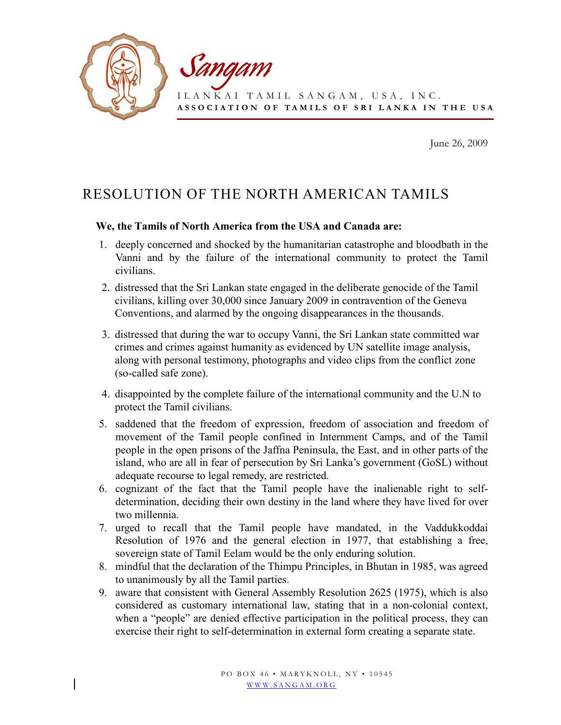

June 26, 2009

## RESOLUTION OF THE NORTH AMERICAN TAMILS

## We, the Tamils of North America from the USA and Canada are:

- 1. deeply concerned and shocked by the humanitarian catastrophe and bloodbath in the Vanni and by the failure of the international community to protect the Tamil civilians.
- 2. distressed that the Sri Lankan state engaged in the deliberate genocide of the Tamil civilians, killing over 30,000 since January 2009 in contravention of the Geneva Conventions, and alarmed by the ongoing disappearances in the thousands.
- 3. distressed that during the war to occupy Vanni, the Sri Lankan state committed war crimes and crimes against humanity as evidenced by UN satellite image analysis, along with personal testimony, photographs and video clips from the conflict zone (so-called safe zone).
- 4. disappointed by the complete failure of the international community and the U.N to protect the Tamil civilians.
- 5. saddened that the freedom of expression, freedom of association and freedom of movement of the Tamil people confined in Internment Camps, and of the Tamil people in the open prisons of the Jaffna Peninsula, the East, and in other parts of the island, who are all in fear of persecution by Sri Lanka's government (GoSL) without adequate recourse to legal remedy, are restricted.
- 6. cognizant of the fact that the Tamil people have the inalienable right to selfdetermination, deciding their own destiny in the land where they have lived for over two millennia.
- 7. urged to recall that the Tamil people have mandated, in the Vaddukkoddai Resolution of 1976 and the general election in 1977, that establishing a free, sovereign state of Tamil Eelam would be the only enduring solution.
- 8. mindful that the declaration of the Thimpu Principles, in Bhutan in 1985, was agreed to unanimously by all the Tamil parties.
- 9. aware that consistent with General Assembly Resolution 2625 (1975), which is also considered as customary international law, stating that in a non-colonial context, when a "people" are denied effective participation in the political process, they can exercise their right to self-determination in external form creating a separate state.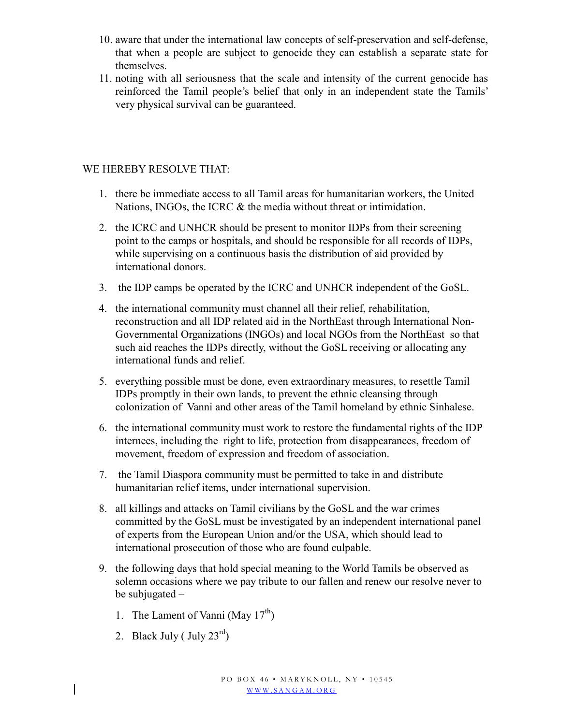- 10. aware that under the international law concepts of self-preservation and self-defense, that when a people are subject to genocide they can establish a separate state for themselves.
- 11. noting with all seriousness that the scale and intensity of the current genocide has reinforced the Tamil people's belief that only in an independent state the Tamils' very physical survival can be guaranteed.

## WE HEREBY RESOLVE THAT:

- 1. there be immediate access to all Tamil areas for humanitarian workers, the United Nations, INGOs, the ICRC & the media without threat or intimidation.
- 2. the ICRC and UNHCR should be present to monitor IDPs from their screening point to the camps or hospitals, and should be responsible for all records of IDPs, while supervising on a continuous basis the distribution of aid provided by international donors.
- 3. the IDP camps be operated by the ICRC and UNHCR independent of the GoSL.
- 4. the international community must channel all their relief, rehabilitation, reconstruction and all IDP related aid in the NorthEast through International Non-Governmental Organizations (INGOs) and local NGOs from the NorthEast so that such aid reaches the IDPs directly, without the GoSL receiving or allocating any international funds and relief.
- 5. everything possible must be done, even extraordinary measures, to resettle Tamil IDPs promptly in their own lands, to prevent the ethnic cleansing through colonization of Vanni and other areas of the Tamil homeland by ethnic Sinhalese.
- 6. the international community must work to restore the fundamental rights of the IDP internees, including the right to life, protection from disappearances, freedom of movement, freedom of expression and freedom of association.
- 7. the Tamil Diaspora community must be permitted to take in and distribute humanitarian relief items, under international supervision.
- 8. all killings and attacks on Tamil civilians by the GoSL and the war crimes committed by the GoSL must be investigated by an independent international panel of experts from the European Union and/or the USA, which should lead to international prosecution of those who are found culpable.
- 9. the following days that hold special meaning to the World Tamils be observed as solemn occasions where we pay tribute to our fallen and renew our resolve never to be subjugated –
	- 1. The Lament of Vanni (May  $17^{th}$ )
	- 2. Black July ( July  $23<sup>rd</sup>$ )